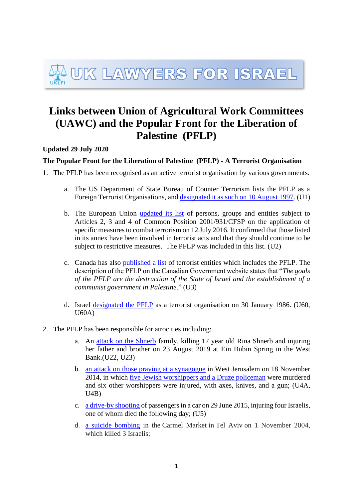## UK LAWYERS FOR ISRAEL

## **Links between Union of Agricultural Work Committees (UAWC) and the Popular Front for the Liberation of Palestine (PFLP)**

**Updated 29 July 2020**

## **The Popular Front for the Liberation of Palestine (PFLP) - A Terrorist Organisation**

- 1. The PFLP has been recognised as an active terrorist organisation by various governments.
	- a. The US Department of State Bureau of Counter Terrorism lists the PFLP as a Foreign Terrorist Organisations, and [designated it as such on 10 August 1997.](https://www.state.gov/j/ct/rls/other/des/123085.htm) (U1)
	- b. The European Union [updated its list](http://eur-lex.europa.eu/legal-content/EN/TXT/PDF/?uri=CELEX:32016D1136&qid=1474969819578&from=EN) of persons, groups and entities subject to Articles 2, 3 and 4 of Common Position 2001/931/CFSP on the application of specific measures to combat terrorism on 12 July 2016. It confirmed that those listed in its annex have been involved in terrorist acts and that they should continue to be subject to restrictive measures. The PFLP was included in this list. (U2)
	- c. Canada has also [published a list](https://www.publicsafety.gc.ca/cnt/ntnl-scrt/cntr-trrrsm/lstd-ntts/crrnt-lstd-ntts-en.aspx#2042) of terrorist entities which includes the PFLP. The description of the PFLP on the Canadian Government website states that "*The goals of the PFLP are the destruction of the State of Israel and the establishment of a communist government in Palestine*." (U3)
	- d. Israel [designated the PFLP](https://www.mod.gov.il/Defence-and-Security/Fighting_terrorism/Pages/default.aspx) as a terrorist organisation on 30 January 1986. (U60,  $U60A)$
- 2. The PFLP has been responsible for atrocities including:
	- a. An [attack on the Shnerb](https://www.timesofisrael.com/west-bank-terror-bombing-suspect-in-critical-condition-after-interrogation/) family, killing 17 year old Rina Shnerb and injuring her father and brother on 23 August 2019 at Ein Bubin Spring in the West Bank.(U22, U23)
	- b. [an attack on those praying at a synagogue](https://www.independent.co.uk/news/world/middle-east/jerusalem-synagogue-attack-popular-front-for-the-liberation-of-palestine-claims-responsibility-9868981.html;) in West Jerusalem on 18 November 2014, in which [five Jewish worshippers and a Druze policeman](https://www.telegraph.co.uk/news/worldnews/middleeast/israel/11237316/Jerusalem-attack.html) were murdered and six other worshippers were injured, with axes, knives, and a gun; (U4A,  $U4B)$
	- c. [a drive-by shooting](https://www.haaretz.com/israeli-man-dies-following-west-bank-shooting-1.5374726) of passengers in a car on 29 June 2015, injuring four Israelis, one of whom died the following day; (U5)
	- d. [a suicide bombing](http://news.bbc.co.uk/1/hi/world/middle_east/3970995.stm) in the Carmel Market in Tel Aviv on 1 November 2004, which killed 3 Israelis;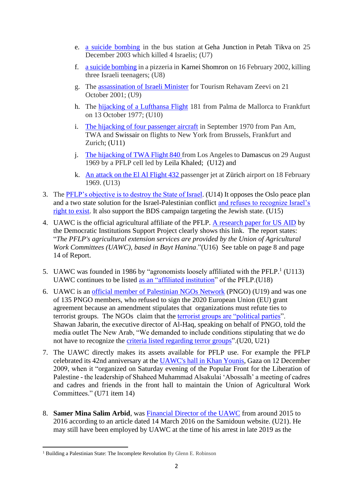- e. [a suicide bombing](http://news.bbc.co.uk/1/hi/world/middle_east/3970995.stm) in the bus station at Geha Junction in Petah Tikva on 25 December 2003 which killed 4 Israelis; (U7)
- f. [a suicide bombing](http://news.bbc.co.uk/1/hi/world/middle_east/1824767.stm) in a pizzeria in Karnei Shomron on 16 February 2002, killing three Israeli teenagers; (U8)
- g. The [assassination of Israeli Minister](https://www.theguardian.com/world/2001/oct/17/israel2) for Tourism Rehavam Zeevi on 21 October 2001; (U9)
- h. The [hijacking of a Lufthansa Flight](https://www.liveleak.com/view?t=a1b_1172741315) 181 from Palma de Mallorca to Frankfurt on 13 October 1977; (U10)
- i. [The hijacking of four passenger aircraft](http://news.bbc.co.uk/onthisday/hi/dates/stories/september%20/12/newsid_2514000/2514929.stm) in September 1970 from Pan Am, TWA and Swissair on flights to New York from Brussels, Frankfurt and Zurich; (U11)
- j. The [hijacking of TWA Flight 840](https://adst.org/2015/08/the-pflp-hijacking-of-twa-840/) from Los Angeles to Damascus on 29 August 1969 by a PFLP cell led by Leila Khaled; (U12) and
- k. An [attack on the El Al Flight 432](https://aviation-safety.net/database/record.php?id=19690218-2) passenger jet at Zürich airport on 18 February 1969. (U13)
- 3. The [PFLP's objective is to destroy the State of Israel.](http://pflp-documents.org/documents/PFLP_StrategyforLiberationofPalestine1969.pdf) (U14) It opposes the Oslo peace plan and a two state solution for the Israel-Palestinian conflict [and refuses to recognize Israel's](https://english.pflp.ps/2016/12/11/statement-of-the-pflp-on-the-49th-anniversary-of-its-founding/)  [right to exist.](https://english.pflp.ps/2016/12/11/statement-of-the-pflp-on-the-49th-anniversary-of-its-founding/) It also support the BDS campaign targeting the Jewish state. (U15)
- 4. UAWC is the official agricultural affiliate of the PFLP. [A research paper for US AID](https://pdf.usaid.gov/pdf_docs/PNABY769.pdf) by the Democratic Institutions Support Project clearly shows this link. The report states: "*The PFLP's agricultural extension services are provided by the Union of Agricultural Work Committees (UAWC), based in Bayt Hanina*."(U16) See table on page 8 and page 14 of Report.
- 5. UAWC was founded in 1986 by "agronomists loosely affiliated with the PFLP. $1$  (U113) UAWC continues to be listed as an ["affiliated institution"](https://web.archive.org/web/20150924010641/http:/www.fatehorg.ps/index.php?action=show_page&ID=11455&lang=ar.) of the PFLP.(U18)
- 6. UAWC is an [official member of Palestinian NGOs Network](https://uawc-pal.org/UAWCAbout.php) (PNGO) (U19) and was one of 135 PNGO members, who refused to sign the 2020 European Union (EU) grant agreement because an amendment stipulates that organizations must refute ties to terrorist groups. The NGOs claim that the [terrorist groups are "political parties"](https://bit.ly/2tUmPxX). Shawan Jabarin, the executive director of Al-Haq, speaking on behalf of PNGO, told the media outlet The New Arab, "We demanded to include conditions stipulating that we do not have to recognize the [criteria listed regarding terror groups"](https://bit.ly/375ml64).(U20, U21)
- 7. The UAWC directly makes its assets available for PFLP use. For example the PFLP celebrated its 42nd anniversary at the [UAWC's hall in Khan Younis,](https://ajrasal3awda.ahlamontada.net/t6566-topic#top) Gaza on 12 December 2009, when it "organized on Saturday evening of the Popular Front for the Liberation of Palestine - the leadership of Shaheed Muhammad Alsakulai 'Abossalh' a meeting of cadres and cadres and friends in the front hall to maintain the Union of Agricultural Work Committees." (U71 item 14)
- 8. **Samer Mina Salim Arbid**, was [Financial Director of the UAWC](https://samidoun.net/2016/03/palestinian-land-defenders-imprisonment-without-charge-or-trial-extended-by-israeli-military-occupation/) from around 2015 to 2016 according to an article dated 14 March 2016 on the Samidoun website. (U21). He may still have been employed by UAWC at the time of his arrest in late 2019 as the

<sup>&</sup>lt;sup>1</sup> Building a Palestinian State: The Incomplete Revolution By Glenn E. Robinson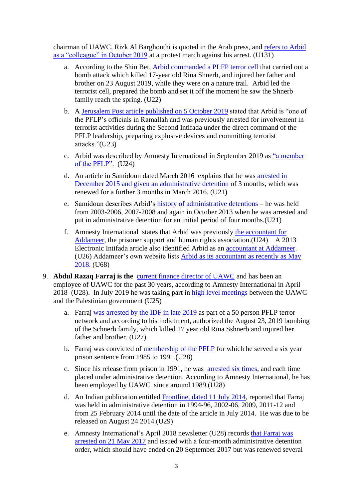chairman of UAWC, Rizk Al Barghouthi is quoted in the Arab press, and [refers to Arbid](https://www.alaraby.co.uk/%D8%A7%D9%84%D9%85%D8%AD%D9%83%D9%85%D8%A9-%D8%A7%D9%84%D8%B9%D8%B3%D9%83%D8%B1%D9%8A%D8%A9-%D8%A7%D9%84%D8%A5%D8%B3%D8%B1%D8%A7%D8%A6%D9%8A%D9%84%D9%8A%D8%A9-%D8%AA%D9%85%D8%AF%D8%AF-%D8%AA%D9%88%D9%82%D9%8A%D9%81-%D8%A7%D9%84%D8%A3%D8%B3%D9%8A%D8%B1-%D8%B3%D8%A7%D9%85%D8%B1-%D8%A7%D9%84%D8%B9%D8%B1%D8%A8%D9%8A%D8%AF)  [as a "colleague" in October 2019](https://www.alaraby.co.uk/%D8%A7%D9%84%D9%85%D8%AD%D9%83%D9%85%D8%A9-%D8%A7%D9%84%D8%B9%D8%B3%D9%83%D8%B1%D9%8A%D8%A9-%D8%A7%D9%84%D8%A5%D8%B3%D8%B1%D8%A7%D8%A6%D9%8A%D9%84%D9%8A%D8%A9-%D8%AA%D9%85%D8%AF%D8%AF-%D8%AA%D9%88%D9%82%D9%8A%D9%81-%D8%A7%D9%84%D8%A3%D8%B3%D9%8A%D8%B1-%D8%B3%D8%A7%D9%85%D8%B1-%D8%A7%D9%84%D8%B9%D8%B1%D8%A8%D9%8A%D8%AF) at a protest march against his arrest. (U131)

- a. According to the Shin Bet, [Arbid commanded a PLFP terror cell](https://www.timesofisrael.com/west-bank-terror-bombing-suspect-in-critical-condition-after-interrogation/) that carried out a bomb attack which killed 17-year old Rina Shnerb, and injured her father and brother on 23 August 2019, while they were on a nature trail. Arbid led the terrorist cell, prepared the bomb and set it off the moment he saw the Shnerb family reach the spring. (U22)
- b. A Jerusalem Post article [published on 5 October 2019](https://www.jpost.com/Arab-Israeli-Conflict/IDF-Police-arrest-terrorists-who-murdered-Rina-Shnerb-603218) stated that Arbid is "one of the PFLP's officials in Ramallah and was previously arrested for involvement in terrorist activities during the Second Intifada under the direct command of the PFLP leadership, preparing explosive devices and committing terrorist attacks."(U23)
- c. Arbid was described by Amnesty International in September 2019 as ["a member](https://www.amnesty.org.uk/press-releases/israelopt-legally-sanctioned-torture-palestinian-man-utterly-outrageous)  [of the PFLP".](https://www.amnesty.org.uk/press-releases/israelopt-legally-sanctioned-torture-palestinian-man-utterly-outrageous) (U24)
- d. An article in Samidoun dated March 2016 explains that he was [arrested in](https://samidoun.net/2016/03/palestinian-land-defenders-imprisonment-without-charge-or-trial-extended-by-israeli-military-occupation/)  [December 2015 and given an administrative detention](https://samidoun.net/2016/03/palestinian-land-defenders-imprisonment-without-charge-or-trial-extended-by-israeli-military-occupation/) of 3 months, which was renewed for a further 3 months in March 2016. (U21)
- e. Samidoun describes Arbid's [history of administrative detentions](https://samidoun.net/2016/03/palestinian-land-defenders-imprisonment-without-charge-or-trial-extended-by-israeli-military-occupation/) he was held from 2003-2006, 2007-2008 and again in October 2013 when he was arrested and put in administrative detention for an initial period of four months.(U21)
- f. Amnesty International states that Arbid was previously [the accountant for](https://www.amnesty.org.uk/press-releases/israelopt-legally-sanctioned-torture-palestinian-man-utterly-outrageous)  [Addameer,](https://www.amnesty.org.uk/press-releases/israelopt-legally-sanctioned-torture-palestinian-man-utterly-outrageous) the prisoner support and human rights association. (U24) A 2013 Electronic Intifada article also identified Arbid as an [accountant at Addameer.](https://electronicintifada.net/content/palestinian-lawyer-faces-israeli-jail-organizing-demonstrations/12886) (U26) Addameer's own website lists [Arbid as its accountant as recently as May](https://web.archive.org/web/20180917191446/http:/www.addameer.org/ar/content/%D8%B7%D8%A7%D9%82%D9%85%D9%86%D8%A7)  [2018.](https://web.archive.org/web/20180917191446/http:/www.addameer.org/ar/content/%D8%B7%D8%A7%D9%82%D9%85%D9%86%D8%A7) (U68)
- 9. **Abdul Razaq Farraj is the** [current finance director of UAWC](https://www.amnesty.org/download/Documents/MDE1582092018ENGLISH.pdf) and has been an employee of UAWC for the past 30 years, according to Amnesty International in April 2018 (U28). In July 2019 he was taking part in [high level meetings](https://uawc-pal.org/news.php?n=3477&lang=2) between the UAWC and the Palestinian government (U25)
	- a. Farraj [was arrested by the IDF in late 2019](https://www.jpost.com/israel-news/shin-bet-arrests-50-pflp-terrorists-thwart-upcoming-attack-611289) as part of a 50 person PFLP terror network and according to his indictment, authorized the August 23, 2019 bombing of the Schnerb family, which killed 17 year old Rina Sshnerb and injured her father and brother. (U27)
	- b. Farraj was convicted of [membership of the PFLP](https://www.amnesty.org/download/Documents/MDE1582092018ENGLISH.pdf) for which he served a six year prison sentence from 1985 to 1991.(U28)
	- c. Since his release from prison in 1991, he was [arrested six times,](https://www.amnesty.org/download/Documents/MDE1582092018ENGLISH.pdf) and each time placed under administrative detention. According to Amnesty International, he has been employed by UAWC since around 1989.(U28)
	- d. An Indian publication entitled [Frontline, dated 11 July 2014,](https://frontline.thehindu.com/world-affairs/fighting-for-dignity/article6141906.ece) reported that Farraj was held in administrative detention in 1994-96, 2002-06, 2009, 2011-12 and from 25 February 2014 until the date of the article in July 2014. He was due to be released on August 24 2014.(U29)
	- e. Amnesty International's April 2018 newsletter (U28) records [that Farraj was](https://www.amnesty.org/download/Documents/MDE1582092018ENGLISH.pdf)  [arrested on 21 May 2017](https://www.amnesty.org/download/Documents/MDE1582092018ENGLISH.pdf) and issued with a four-month administrative detention order, which should have ended on 20 September 2017 but was renewed several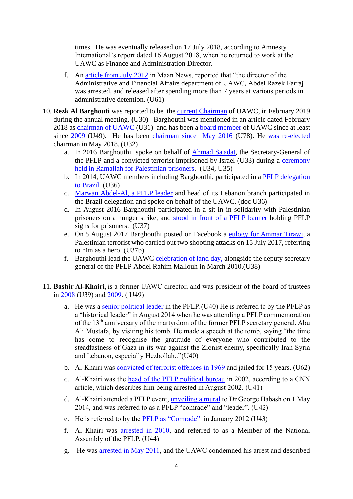times. He was eventually released on 17 July 2018, according to Amnesty International's report dated 16 August 2018, when he returned to work at the UAWC as Finance and Administration Director.

- f. An [article from July 2012](https://www.maannews.net/news/507635.html) in Maan News, reported that "the director of the Administrative and Financial Affairs department of UAWC, Abdel Razek Farraj was arrested, and released after spending more than 7 years at various periods in administrative detention. (U61)
- 10. **Rezk Al Barghouti** was reported to be the [current Chairman](http://uawc-pal.org/news.php?n=3446&lang=1) of UAWC, in February 2019 during the annual meeting. **(**U30**)** Barghouthi was mentioned in an article dated February 2018 as [chairman of UAWC](https://uawc-pal.org/news.php?n=3299&lang=1) (U31) and has been a [board member](http://www.hosh.ps/archives/318729) of UAWC since at least since [2009](https://uawc-pal.org/news.php?n=138) (U49). He has been [chairman since May 2016](https://uawc-pal.org/news.php?n=2965&lang=1) (U78). He [was re-elected](https://maannews.net/Content.aspx?id=948437) chairman in May 2018. (U32)
	- a. In 2016 Barghouthi spoke on behalf of [Ahmad Sa'adat,](https://www.ynetnews.com/articles/0,7340,L-3644555,00.html) the Secretary-General of the PFLP and a convicted terrorist imprisoned by Israel (U33) during a [ceremony](http://www.wafa.ps/ar_page.aspx?id=M5FK9Ta689484136308aM5FK9T)  [held in Ramallah for Palestinian prisoners.](http://www.wafa.ps/ar_page.aspx?id=M5FK9Ta689484136308aM5FK9T) (U34, U35)
	- b. In 2014, UAWC members including Barghouthi, participated in a [PFLP delegation](https://english.pflp.ps/2014/02/13/saadat-statement-to-landless-workers-movement-victory-to-the-oppressed/)  [to Brazil.](https://english.pflp.ps/2014/02/13/saadat-statement-to-landless-workers-movement-victory-to-the-oppressed/) (U36)
	- c. [Marwan Abdel-Al, a PFLP leader](https://english.pflp.ps/2014/02/21/abdel-al-and-saadat-continue-extensive-brazilian-tour-the-right-of-return-is-not-a-business-deal/) and head of its Lebanon branch participated in the Brazil delegation and spoke on behalf of the UAWC. (doc U36)
	- d. In August 2016 Barghouthi participated in a sit-in in solidarity with Palestinian prisoners on a hunger strike, and [stood in front of a PFLP banner](https://www.al-ayyam.ps/ar_page.php?id=111f6291y287269521Y111f6291) holding PFLP signs for prisoners. (U37)
	- e. On 5 August 2017 Barghouthi posted on Facebook a [eulogy for Ammar Tirawi,](https://www.facebook.com/photo.php?fbid=895934333887709&set=pb.100004134523785.-2207520000.1553513259.&type=3&theater) a Palestinian terrorist who carried out two shooting attacks on 15 July 2017, referring to him as a hero. (U37b)
	- f. Barghouthi lead the UAWC [celebration of land day,](http://www.maannews.net/Content.aspx?id=272421) alongside the deputy secretary general of the PFLP Abdel Rahim Mallouh in March 2010.(U38)
- 11. **Bashir Al-Khairi**, is a former UAWC director, and was president of the board of trustees in [2008](http://www.uawc-pal.org/Files/annual_report_2008_en.pdf) (U39) and [2009.](https://uawc-pal.org/news.php?n=138) ( U49)
	- a. He was a [senior political leader](https://web.archive.org/web/20180825220758/http:/pflp.ps/ar/post/8894/%D9%81%D9%8A-%D8%A7%D9%84%D8%B0%D9%83%D8%B1%D9%89-%D8%A7%D9%84%D8%AB%D8%A7%D9%84%D8%AB%D8%A9-%D8%B9%D8%B4%D8%B1-%D9%84%D8%A7%D8%B3%D8%AA%D8%B4%D9%87%D8%A7%D8%AF%D9%87--%D8%A7%D9%84%D8%B4%D8%B9%D8%A8%D9%8A%D8%A9-%D8%AA%D8%AC%D8%AF%D8%AF-%D8%A7%D9%84%D8%B9%D9%87%D8%AF-%D9%88%D8%A7%D9%84%D9%88%D9%81%D8%A7%D8%A1-%D9%84%D9%84%D9%82%D8%A7%D8%A6%D8%AF-%D8%A3%D8%A8%D9%88-%D8%B9%D9%84%D9%8A-%D9%85%D8%B5%D8%B7%D9%81%D9%89) in the PFLP.(U40) He is referred to by the PFLP as a "historical leader" in August 2014 when he was attending a PFLP commemoration of the 13<sup>th</sup> anniversary of the martyrdom of the former PFLP secretary general, Abu Ali Mustafa, by visiting his tomb. He made a speech at the tomb, saying "the time has come to recognise the gratitude of everyone who contributed to the steadfastness of Gaza in its war against the Zionist enemy, specifically Iran Syria and Lebanon, especially Hezbollah.."(U40)
	- b. Al-Khairi was [convicted of terrorist offences in 1969](https://web.archive.org/web/20150814061652/https:/dfat.gov.au/about-us/corporate/freedom-of-information/Documents/120213-doc4-union-of-agricultural-work-committees.pdf) and jailed for 15 years. (U62)
	- c. Al-Khairi was the [head of the PFLP political bureau](http://edition.cnn.com/2002/WORLD/meast/08/27/mideast/) in 2002, according to a CNN article, which describes him being arrested in August 2002. (U41)
	- d. Al-Khairi attended a PFLP event, [unveiling a mural](https://web.archive.org/web/20181130171826/http:/pflp.ps/english/2014/05/04/pflp-in-beit-sahour-unveils-mural-commemorating-al-hakim/) to Dr George Habash on 1 May 2014, and was referred to as a PFLP "comrade" and "leader". (U42)
	- e. He is referred to by the [PFLP as "Comrade"](https://english.pflp.ps/2012/01/17/comrade-abu-ghoulmeh-urgent-action-needed-against-isolation/) in January 2012 (U43)
	- f. Al Khairi was [arrested in 2010,](https://www.arab48.com/%D9%81%D9%84%D8%B3%D8%B7%D9%8A%D9%86%D9%8A%D8%A7%D8%AA/%D8%A3%D8%AE%D8%A8%D8%A7%D8%B1/2010/10/31/%D8%A7%D9%84%D8%A7%D8%AD%D8%AA%D9%84%D8%A7%D9%84-%D8%A7%D9%84%D8%A7%D8%B3%D8%B1%D8%A7%D8%A6%D9%8A%D9%84%D9%8A-%D9%8A%D8%B9%D8%AA%D9%82%D9%84-%D8%AB%D9%84%D8%A7%D8%AB%D8%A9-%D8%B4%D8%AE%D8%B5%D9%8A%D8%A7%D8%AA-%D9%85%D9%86-%D8%A7%D9%84%D8%AC%D8%A8%D9%87%D8%A9-%D8%A7%D9%84%D8%B4%D8%B9%D8%A8%D9%8A%D8%A9-%D8%A8%D9%8A%D9%86%D9%87%D9%85-%D8%A7%D9%84%D9%86%D8%A7%D8%B7%D9%82-%D8%A7%D9%84%D8%B1%D8%B3%D9%85%D9%8A-%D8%B9%D9%84%D9%8A-%D8%AC%D8%B1%D8%A7%D8%AF%D8%A7%D8%AA-%D9%88%D8%B9%D8%B6%D9%88-%D8%A7%D9%84%D9%85%D8%AC%D9%84%D8%B3-%D8%A7%D9%84%D9%88%D8%B7%D9%86%D9%8A%D8%8C-%D8%A8%D8%B4%D9%8A%D8%B1-%D8%A7%D9%84%D8%AE%D9%8A%D8%B1%D9%8A) and referred to as a Member of the National Assembly of the PFLP. (U44)
	- g. He was [arrested in May 2011,](https://www.maannews.net/news/384028.html) and the UAWC condemned his arrest and described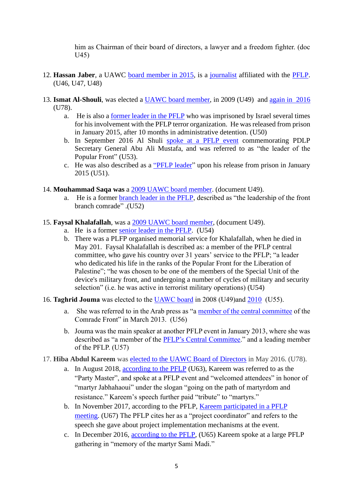him as Chairman of their board of directors, a lawyer and a freedom fighter. (doc U45)

- 12. **Hassan Jaber**, a UAWC [board member in 2015,](http://www.uawc-pal.org/Files/a1bc851a-931e-4412-9d32-9205bdb4bed6.pdf.pdf) is a [journalist](https://www.alwatanvoice.com/arabic/news/2012/01/18/239050.html) affiliated with the [PFLP.](http://www.hosh.ps/archives/318729) (U46, U47, U48)
- 13. **Ismat Al-Shouli**, was elected a [UAWC board member,](https://uawc-pal.org/news.php?n=138) in 2009 (U49) and [again in 2016](https://uawc-pal.org/news.php?n=2965&lang=1) (U78).
	- a. He is also a [former leader in the PFLP](http://www.asdaapress.com/?ID=8980) who was imprisoned by Israel several times for his involvement with the PFLP terror organization. He was released from prison in January 2015, after 10 months in administrative detention. (U50)
	- b. In September 2016 Al Shuli [spoke at a PFLP event](http://www.alquds.com/articles/1472990323133461600/) commemorating PDLP Secretary General Abu Ali Mustafa, and was referred to as "the leader of the Popular Front" (U53).
	- c. He was also described as a ["PFLP leader"](http://www.asdaapress.com/?ID=8769) upon his release from prison in January 2015 (U51).
- 14. **Mouhammad Saqa was** a 2009 [UAWC board member.](https://uawc-pal.org/news.php?n=138) (document U49).
	- a. He is a former [branch leader in the PFLP,](https://samanews.ps/ar/post/55938/%d8%a7%d9%84%d8%b4%d8%b9%d8%a8%d9%8a%d8%a9-%d8%aa%d9%86%d8%b8%d9%85-%d8%b3%d9%84%d8%b3%d9%84%d8%a9-%d9%81%d8%b9%d8%a7%d9%84%d9%8a%d8%a7%d8%aa-%d9%81%d9%8a-%d8%a8%d9%8a%d8%aa-%d9%84%d8%a7%d9%87%d9%8a%d8%a7-%d9%88%d8%a8%d9%8a%d8%aa-%d8%ad%d8%a7%d9%86%d9%88%d9%86-%d9%88%d9%85%d8%ae%d9%8a%d9%85-%d8%ac%d8%a8%d8%a7%d9%84%d9%8a%d8%a7-%d9%88%d8%ae%d8%a7%d9%86-%d9%8a%d9%88%d9%86%d8%b3-%d8%a7%d8%ad%d8%aa%d9%81%d8%a7%d8%a1-%d8%a8%d8%a7%d9%86%d8%b7%d9%84%d8%a7%d9%82%d8%aa%d9%87%d8%a7-%d8%a7%d9%84%d9%8042) described as "the leadership of the front branch comrade" .(U52)
- 15. **Faysal Khalafallah**, was a 2009 [UAWC board member,](https://uawc-pal.org/news.php?n=138) (document U49).
	- a. He is a former [senior leader in the PFLP.](http://www.al-bayader.com/readarticle.aspx?articleid=17164) (U54)
	- b. There was a PLFP organised memorial service for Khalafallah, when he died in May 201. Faysal Khalafallah is described as: a member of the PFLP central committee, who gave his country over 31 years' service to the PFLP; "a leader who dedicated his life in the ranks of the Popular Front for the Liberation of Palestine"; "he was chosen to be one of the members of the Special Unit of the device's military front, and undergoing a number of cycles of military and security selection" (i.e. he was active in terrorist military operations) (U54)
- 16. **Taghrid Jouma** was elected to the [UAWC board](https://uawc-pal.org/news.php?n=138) in 2008 (U49)and [2010](http://www.alhayat-j.com/arch_page.php?nid=126312&as_qdr%20y15) (U55).
	- a. She was referred to in the Arab press as "a [member of the central committee](https://www.alwatanvoice.com/arabic/news/2013/03/10/369614.html) of the Comrade Front" in March 2013. (U56)
	- b. Jouma was the main speaker at another PFLP event in January 2013, where she was described as "a member of the [PFLP's Central Committee.](https://www.maannews.net/news/552752.html)" and a leading member of the PFLP. (U57)
- 17. **Hiba Abdul Kareem** was [elected to the UAWC Board of Directors](https://uawc-pal.org/news.php?n=2965&lang=1) in May 2016. (U78).
	- a. In August 2018, [according to the PFLP](http://www.abuali.ps/news/2422) (U63), Kareem was referred to as the "Party Master", and spoke at a PFLP event and "welcomed attendees" in honor of "martyr Jabhahaoui" under the slogan "going on the path of martyrdom and resistance." Kareem's speech further paid "tribute" to "martyrs."
	- b. In November 2017, according to the PFLP, [Kareem participated in a PFLP](http://web.archive.org/web/20191030085605/https:/pflp.ps/post/16145/%D8%A7%D9%84%D8%B4%D8%B9%D8%A8%D9%8A%D8%A9-%D9%81%D9%8A-%D8%BA%D8%B2%D8%A9-%D8%AA%D9%81%D8%AA%D8%AA%D8%AD-%D8%A3%D9%88%D9%84%D9%89-%D9%84%D9%82%D8%A7%D8%A1%D8%A7%D8%AA-%D8%A7%D9%84%D9%85%D8%AC%D9%85%D9%88%D8%B9%D8%A7%D8%AA-%D8%A7%D9%84%D9%83%D8%A7%D8%AF%D8%B1%D9%8A%D8%A9)  [meeting.](http://web.archive.org/web/20191030085605/https:/pflp.ps/post/16145/%D8%A7%D9%84%D8%B4%D8%B9%D8%A8%D9%8A%D8%A9-%D9%81%D9%8A-%D8%BA%D8%B2%D8%A9-%D8%AA%D9%81%D8%AA%D8%AA%D8%AD-%D8%A3%D9%88%D9%84%D9%89-%D9%84%D9%82%D8%A7%D8%A1%D8%A7%D8%AA-%D8%A7%D9%84%D9%85%D8%AC%D9%85%D9%88%D8%B9%D8%A7%D8%AA-%D8%A7%D9%84%D9%83%D8%A7%D8%AF%D8%B1%D9%8A%D8%A9) (U67) The PFLP cites her as a "project coordinator" and refers to the speech she gave about project implementation mechanisms at the event.
	- c. In December 2016, [according to the PFLP,](http://web.archive.org/web/20190703113830/https:/pflp.ps/post/14396/%D8%A7%D9%84%D8%B4%D8%B9%D8%A8%D9%8A%D8%A9-%D9%81%D9%8A-%D8%A7%D9%84%D9%85%D8%AD%D8%A7%D9%81%D8%B8%D8%A9-%D8%A7%D9%84%D9%88%D8%B3%D8%B7%D9%89-%D8%AA%D8%AD%D9%8A%D9%8A-%D8%B0%D9%83%D8%B1%D9%89-%D8%A7%D9%86%D8%B7%D9%84%D8%A7%D9%82%D8%A9-%D8%A7%D9%84%D8%AC%D8%A8%D9%87%D8%A9-%D9%88%D8%B3%D9%86%D9%88%D9%8A%D8%A9-%D8%A7%D9%84%D8%B4%D9%87%D9%8A%D8%AF) (U65) Kareem spoke at a large PFLP gathering in "memory of the martyr Sami Madi."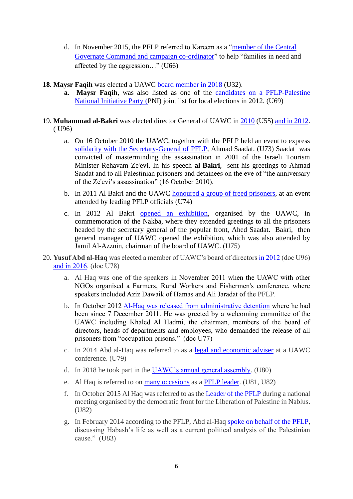- d. In November 2015, the PFLP referred to Kareem as a ["member of the Central](http://web.archive.org/web/20190703113053/https:/pflp.ps/post/11943/%D8%B9%D9%84%D9%89-%D8%B4%D8%B1%D9%81-%D8%A7%D9%84%D8%B0%D9%83%D8%B1%D9%89-%D8%A7%D9%84-48-%D9%84%D9%84%D8%A7%D9%86%D8%B7%D9%84%D8%A7%D9%82%D8%A9-%D8%A7%D9%84%D8%B4%D8%B9%D8%A8%D9%8A%D8%A9-%D8%A8%D8%A7%D9%84%D9%88%D8%B3%D8%B7%D9%89-%D8%AA%D8%B7%D9%84%D9%82-%D8%AD%D9%85%D9%84%D8%A9-%D9%84%D8%A3%D9%86%D9%83%D9%85-%D8%A3%D9%87)  [Governate Command and campaign co-ordinator"](http://web.archive.org/web/20190703113053/https:/pflp.ps/post/11943/%D8%B9%D9%84%D9%89-%D8%B4%D8%B1%D9%81-%D8%A7%D9%84%D8%B0%D9%83%D8%B1%D9%89-%D8%A7%D9%84-48-%D9%84%D9%84%D8%A7%D9%86%D8%B7%D9%84%D8%A7%D9%82%D8%A9-%D8%A7%D9%84%D8%B4%D8%B9%D8%A8%D9%8A%D8%A9-%D8%A8%D8%A7%D9%84%D9%88%D8%B3%D8%B7%D9%89-%D8%AA%D8%B7%D9%84%D9%82-%D8%AD%D9%85%D9%84%D8%A9-%D9%84%D8%A3%D9%86%D9%83%D9%85-%D8%A3%D9%87) to help "families in need and affected by the aggression…" (U66)
- **18. Maysr Faqih** was elected a UAWC [board member in 2018](https://www.maannews.net/news/948437.html) (U32).
	- **a. Maysr Faqih**, was also listed as one of the [candidates on a PFLP-Palestine](https://www.maannews.net/news/519186.html)  [National Initiative Party \(P](https://www.maannews.net/news/519186.html)NI) joint list for local elections in 2012. (U69)
- 19. **Muhammad al-Bakri** was elected director General of UAWC in [2010](http://www.alhayat-j.com/arch_page.php?nid=126312&as_qdr%20y15) (U55) [and in 2012.](https://uawc-pal.org/news.php?n=541&lang=1) ( U96)
	- a. On 16 October 2010 the UAWC, together with the PFLP held an event to express [solidarity with the Secretary-General of PFLP,](https://samanews.ps/ar/post/78928/%d8%a7%d8%aa%d8%ad%d8%a7%d8%af-%d9%84%d8%ac%d8%a7%d9%86-%d8%a7%d9%84%d8%b9%d9%85%d9%84-%d8%a7%d9%84%d8%b2%d8%b1%d8%a7%d8%b9%d9%8a-%d9%81%d9%8a-%d9%8a%d9%88%d9%85-%d8%aa%d8%b6%d8%a7%d9%85%d9%86%d9%8a-%d9%85%d8%b9-%d8%a7%d9%84%d8%a3%d8%b3%d8%b1%d9%89-%d9%88%d8%a7%d9%84%d9%85%d8%b2%d8%a7%d8%b1%d8%b9%d9%8a%d9%86) Ahmad Saadat. (U73) Saadat was convicted of masterminding the assassination in 2001 of the Israeli Tourism Minister Rehavam Ze'evi. In his speech **al-Bakri**, sent his greetings to Ahmad Saadat and to all Palestinian prisoners and detainees on the eve of "the anniversary of the Ze'evi's assassination" (16 October 2010).
	- b. In 2011 Al Bakri and the UAWC [honoured a group of freed prisoners,](https://www.alwatanvoice.com/arabic/news/2011/10/31/209338.html) at an event attended by leading PFLP officials (U74)
	- c. In 2012 Al Bakri [opened an exhibition,](https://www.alwatanvoice.com/arabic/news/2012/05/16/279121.html) organised by the UAWC, in commemoration of the Nakba, where they extended greetings to all the prisoners headed by the secretary general of the popular front, Ahed Saadat. Bakri, then general manager of UAWC opened the exhibition, which was also attended by Jamil Al-Azznin, chairman of the board of UAWC. (U75)
- 20. **Yusuf Abd al-Haq** was elected a member of UAWC's board of director[s in 2012](https://uawc-pal.org/news.php?n=541&lang=1) (doc U96) [and in 2016.](https://uawc-pal.org/news.php?n=2965&lang=1) (doc U78)
	- a. Al Haq was one of the speakers in November 2011 when the UAWC with other NGOs organised a Farmers, Rural Workers and Fishermen's conference, where speakers included Aziz Dawaik of Hamas and Ali Jaradat of the PFLP.
	- b. In October 2012 [Al-Haq was released from administrative detention](http://uawc-pal.org/news.php?n=308&lang=1) where he had been since 7 December 2011. He was greeted by a welcoming committee of the UAWC including Khaled Al Hadmi, the chairman, members of the board of directors, heads of departments and employees, who demanded the release of all prisoners from "occupation prisons." (doc U77)
	- c. In 2014 Abd al-Haq was referred to as a [legal and economic adviser](https://www.youtube.com/watch?v=g73vcqpGvuU) at a UAWC conference. (U79)
	- d. In 2018 he took part in the [UAWC's annual general assembly.](https://www.facebook.com/uawcpal/posts/1684566101596912?__tn__=-R) (U80)
	- e. Al Haq is referred to on [many occasions](https://www.palinfo.com/news/2016/3/3/%d8%a7%d9%84%d9%82%d9%8a%d8%a7%d8%af%d9%8a-%d8%b9%d8%a8%d8%af-%d8%a7%d9%84%d8%ad%d9%82-%d8%a7%d9%86%d8%aa%d9%81%d8%a7%d8%b6%d8%a9-%d8%a7%d9%84%d9%82%d8%af%d8%b3-%d9%8a%d9%86%d9%82%d8%b5%d9%87%d8%a7-%d8%ba%d8%b7%d8%a7%d8%a1-%d8%b3%d9%8a%d8%a7%d8%b3%d9%8a) as a [PFLP leader.](https://www.alwatanvoice.com/arabic/news/2015/10/13/792288.html) (U81, U82)
	- f. In October 2015 Al Haq was referred to as the [Leader of the PFLP](https://www.alwatanvoice.com/arabic/news/2015/10/13/792288.html) during a national meeting organised by the democratic front for the Liberation of Palestine in Nablus. (U82)
	- g. In February 2014 according to the PFLP, Abd al-Haq [spoke on behalf of the PFLP,](https://english.pflp.ps/2014/02/05/honoring-al-hakim-events-demand-rejection-of-kerry-plan-upholding-right-of-return/) discussing Habash's life as well as a current political analysis of the Palestinian cause." (U83)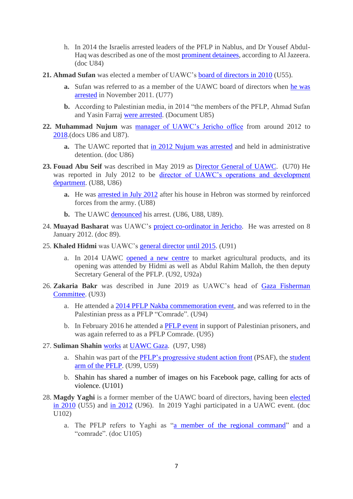- h. In 2014 the Israelis arrested leaders of the PFLP in Nablus, and Dr Yousef Abdul-Haq was described as one of the most [prominent detainees,](https://www.aljazeera.net/news/reportsandinterviews/2014/8/26/%D8%A7%D9%84%D8%A7%D8%AD%D8%AA%D9%84%D8%A7%D9%84-%D9%8A%D8%B9%D8%AA%D9%82%D9%84-%D9%83%D9%88%D8%A7%D8%AF%D8%B1-%D9%85%D9%86-%D8%A7%D9%84%D8%AC%D8%A8%D9%87%D8%A9-%D8%A7%D9%84%D8%B4%D8%B9%D8%A8%D9%8A%D8%A9-%D8%A8%D8%A7%D9%84%D8%B6%D9%81%D8%A9) according to Al Jazeera. (doc U84)
- **21. Ahmad Sufan** was elected a member of UAWC's [board of directors in 2010](http://www.alhayat-j.com/arch_page.php?nid=126312&as_qdr%20y15) (U55).
	- **a.** Sufan was referred to as a member of the UAWC board of directors when [he was](http://uawc-pal.org/news.php?n=308&lang=1)  [arrested](http://uawc-pal.org/news.php?n=308&lang=1) in November 2011. (U77)
	- **b.** According to Palestinian media, in 2014 "the members of the PFLP, Ahmad Sufan and Yasin Farraj [were arrested.](https://www.alaraby.co.uk/politics/2014/8/25/%D8%A7%D8%B3%D8%AA%D8%B4%D9%87%D8%A7%D8%AF-%D8%B7%D9%81%D9%84-%D9%81%D9%84%D8%B3%D8%B7%D9%8A%D9%86%D9%8A-%D9%88%D8%A7%D9%84%D8%A7%D8%AD%D8%AA%D9%84%D8%A7%D9%84-%D9%8A%D8%B9%D8%AA%D9%82%D9%84-%D9%82%D8%A7%D8%AF%D8%A9-%D9%84%D9%80-%D9%81%D8%AA%D8%AD-%D9%88-%D8%A7%D9%84%D8%B4%D8%B9%D8%A8%D9%8A%D8%A9-%D8%A8%D8%A7%D9%84%D8%B6%D9%81%D8%A9) (Document U85)
- **22. Muhammad Nujum** was [manager of UAWC's Jericho office](https://uawc-pal.org/news.php?n=324&lang=1) from around 2012 to [2018.](http://www.904fm.ps/news_detail.php?id=10759)(docs U86 and U87).
	- **a.** The UAWC reported that [in 2012 Nujum was arrested](https://uawc-pal.org/news.php?n=324&lang=1) and held in administrative detention. (doc U86)
- **23. Fouad Abu Seif** was described in May 2019 as [Director General of UAWC.](https://uawc-pal.org/news.php?n=3446&lang=2) (U70) He was reported in July 2012 to be [director of UAWC's operations and development](https://www.maannews.net/news/507635.html)  [department.](https://www.maannews.net/news/507635.html) (U88, U86)
	- **a.** He was [arrested in July 2012](https://www.maannews.net/news/507635.html) after his house in Hebron was stormed by reinforced forces from the army. (U88)
	- **b.** The UAWC [denounced](https://www.uawc-pal.org/news.php?n=330&lang=1) his arrest. (U86, U88, U89).
- 24. **Muayad Basharat** was UAWC's [project co-ordinator in Jericho.](https://www.uawc-pal.org/news.php?n=330&lang=1) He was arrested on 8 January 2012. (doc 89).
- 25. **Khaled Hidmi** was UAWC's [general director](https://uawc-pal.org/news.php?n=1210&lang=1) [until 2015.](http://www.uawc-pal.org/news.php?n=1340&lang=1) (U91)
	- a. In 2014 UAWC [opened a new centre](https://www.wattan.net/ar/news/112805.html) to market agricultural products, and its opening was attended by Hidmi as well as Abdul Rahim Malloh, the then deputy Secretary General of the PFLP. (U92, U92a)
- 26. **Zakaria Bakr** was described in June 2019 as UAWC's head of [Gaza Fisherman](https://imemc.org/article/israel-reduces-gazas-fishing-zone/)  [Committee.](https://imemc.org/article/israel-reduces-gazas-fishing-zone/) (U93)
	- a. He attended a [2014 PFLP Nakba commemoration event,](https://www.alwatanvoice.com/arabic/news/2014/05/15/538090.html) and was referred to in the Palestinian press as a PFLP "Comrade". (U94)
	- b. In February 2016 he attended a [PFLP event](https://pflp.ps/post/12655/%D8%A7%D9%84%D8%B4%D8%B9%D8%A8%D9%8A%D8%A9-%D9%81%D9%8A-%D8%BA%D8%B2%D8%A9-%D8%AA%D9%86%D8%B8%D9%85-%D9%88%D9%82%D9%81%D8%A9-%D8%AF%D8%B9%D9%85-%D9%88%D8%A5%D8%B3%D9%86%D8%A7%D8%AF-%D9%84%D9%84%D8%A3%D8%B3%D9%8A%D8%B1%D9%8A%D9%86-%D9%85%D8%AD%D9%85%D8%AF-%D8%A7%D9%84%D9%82%D9%8A%D9%82-%D9%88%D8%A8%D9%84%D8%A7%D9%84-%D9%83%D8%A7%D9%8A) in support of Palestinian prisoners, and was again referred to as a PFLP Comrade. (U95)
- 27. **Suliman Shahin** [works](https://www.facebook.com/sloom.sh) at [UAWC Gaza.](https://www.facebook.com/photo.php?fbid=10151125466359274&set=t.100001025334052&type=3&theater) (U97, U98)
	- a. Shahin was part of the [PFLP's progressive student action front](https://www.facebook.com/photo.php?fbid=10151125466359274&set=t.100001025334052&type=3&theater) (PSAF), the [student](https://www.abedkhattar.com/news/24937)  [arm of the PFLP.](https://www.abedkhattar.com/news/24937) (U99, U59)
	- b. Shahin has shared a number of images on his Facebook page, calling for acts of violence. (U101)
- 28. **Magdy Yaghi** is a former member of the UAWC board of directors, having been [elected](http://www.alhayat-j.com/arch_page.php?nid=126312&as_qdr%20y15)  in [2010](http://www.alhayat-j.com/arch_page.php?nid=126312&as_qdr%20y15) (U55) and [in 2012](https://uawc-pal.org/news.php?n=541&lang=1) (U96). In 2019 Yaghi participated in a UAWC event. (doc U102)
	- a. The PFLP refers to Yaghi as ["a member of the regional command"](http://web.archive.org/web/20190702072454/https:/pflp.ps/post/7796/%D9%85%D9%86%D8%B8%D9%85%D8%A9-%D8%A7%D9%84%D8%B4%D9%87%D9%8A%D8%AF-%D9%85%D8%B9%D9%8A%D9%86-%D8%A7%D9%84%D9%85%D8%B5%D8%B1%D9%8A-%D8%AA%D8%AD%D9%8A%D9%8A-%D8%B0%D9%83%D8%B1%D9%8A-%D8%A7%D9%84%D8%A3%D8%B1%D8%B6-%D8%A8%D9%85%D8%B3%D9%8A%D8%B1%D8%A9-%D9%88%D8%B2%D8%B1%D8%A7%D8%B9%D8%A9-%D8%A7%D8%B4%D8%AA%D8%A7%D9%84-%D8%A7%D9%84%D8%B2%D9%8A) and a "comrade". (doc U105)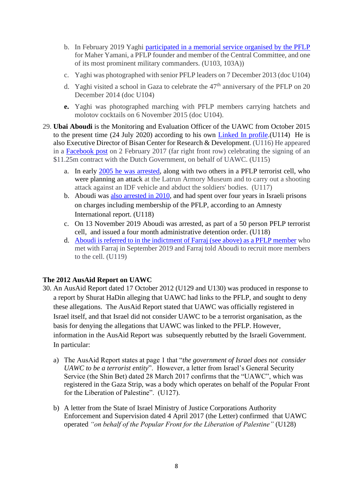- b. In February 2019 Yaghi [participated in a memorial service organised by the PFLP](http://web.archive.org/web/20190701134613/https:/pflp.ps/post/18248/%D8%A7%D9%84%D8%B4%D8%B9%D8%A8%D9%8A%D8%A9-%D9%81%D9%8A-%D8%A7%D9%84%D9%82%D8%B7%D8%A7%D8%B9-%D8%AA%D9%82%D9%8A%D9%85-%D8%A8%D9%8A%D8%AA-%D8%B9%D8%B2%D8%A7%D8%A1-%D9%84%D8%B1%D9%81%D9%8A%D9%82%D9%87%D8%A7-%D8%A7%D9%84%D9%85%D9%86%D8%A7%D8%B6%D9%84-%D9%88%D9%82%D8%A7%D8%A6%D8%AF%D9%87%D8%A7-%D8%A7%D9%84%D8%B9%D8%B3%D9%83%D8%B1%D9%8A-%D9%85) for Maher Yamani, a PFLP founder and member of the Central Committee, and one of its most prominent military commanders. (U103, 103A))
- c. Yaghi was photographed with senior PFLP leaders on 7 December 2013 (doc U104)
- d. Yaghi visited a school in Gaza to celebrate the  $47<sup>th</sup>$  anniversary of the PFLP on 20 December 2014 (doc U104)
- **e.** Yaghi was photographed marching with PFLP members carrying hatchets and molotov cocktails on 6 November 2015 (doc U104).
- 29. **Ubai Aboudi** is the Monitoring and Evaluation Officer of the UAWC from October 2015 to the present time (24 July 2020) according to his own [Linked In profile.](https://www.linkedin.com/public-profile/in/ubai-al-aboudi-a2b2b59b/?challengeId=AQEKu_6lhuzQYQAAAXOAF5K7uRoXyc-hhKVDB9D-xd-AVMi1rjTtKTlpFyXzoq666fE41jgQI4lTgEWoprwc_-_AUCUKBWYDSg&submissionId=c971fd9f-47a5-2416-f18b-6318e6300777)(U114) He is also Executive Director of Bisan Center for Research & Development. (U116) He appeared in a [Facebook post](https://www.facebook.com/NLRepOfficeRamallah/posts/this-week-the-nro-and-the-union-of-agricultural-work-committees-uawc-signed-an-u/729114907258134/) on 2 February 2017 (far right front row) celebrating the signing of an \$11.25m contract with the Dutch Government, on behalf of UAWC. (U115)
	- a. In early [2005 he was arrested,](https://mfa.gov.il/MFA/ForeignPolicy/Terrorism/Palestinian/Pages/Counter-terrorism%20Jan-Mar%202005.aspx) along with two others in a PFLP terrorist cell, who were planning an attack at the Latrun Armory Museum and to carry out a shooting attack against an IDF vehicle and abduct the soldiers' bodies. (U117)
	- b. Aboudi was [also arrested in 2010,](https://www.amnesty.org/download/Documents/MDE1514452019ENGLISH.pdf) and had spent over four years in Israeli prisons on charges including membership of the PFLP, according to an Amnesty International report. (U118)
	- c. On 13 November 2019 Aboudi was arrested, as part of a 50 person PFLP terrorist cell, and issued a four month administrative detention order. (U118)
	- d. [Aboudi is referred to in the indictment of Farraj \(see above\) as a PFLP member](https://www.ngo-monitor.org/reports/current-and-former-ngo-employees-arrested-as-part-of-pflp-terror-cell/) who met with Farraj in September 2019 and Farraj told Aboudi to recruit more members to the cell. (U119)

## **The 2012 AusAid Report on UAWC**

- 30. An AusAid Report dated 17 October 2012 (U129 and U130) was produced in response to a report by Shurat HaDin alleging that UAWC had links to the PFLP, and sought to deny these allegations. The AusAid Report stated that UAWC was officially registered in Israel itself, and that Israel did not consider UAWC to be a terrorist organisation, as the basis for denying the allegations that UAWC was linked to the PFLP. However, information in the AusAid Report was subsequently rebutted by the Israeli Government. In particular:
	- a) The AusAid Report states at page 1 that "*the government of Israel does not consider UAWC to be a terrorist entity*". However, a letter from Israel's General Security Service (the Shin Bet) dated 28 March 2017 confirms that the "UAWC", which was registered in the Gaza Strip, was a body which operates on behalf of the Popular Front for the Liberation of Palestine". (U127).
	- b) A letter from the State of Israel Ministry of Justice Corporations Authority Enforcement and Supervision dated 4 April 2017 (the Letter) confirmed that UAWC operated *"on behalf of the Popular Front for the Liberation of Palestine"* (U128)